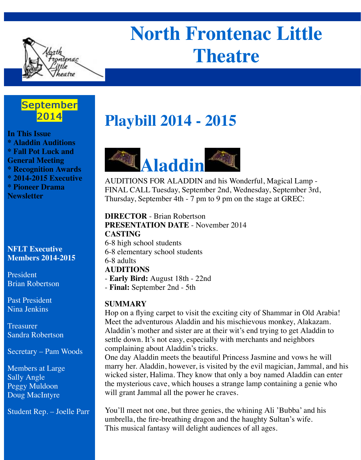

# **North Frontenac Little Theatre**

### September 2014

**In This Issue \* Aladdin Auditions \* Fall Pot Luck and General Meeting \* Recognition Awards \* 2014-2015 Executive \* Pioneer Drama Newsletter**

#### **NFLT Executive Members 2014-2015**

President Brian Robertson

Past President Nina Jenkins

Treasurer Sandra Robertson

Secretary – Pam Woods

Members at Large Sally Angle Peggy Muldoon Doug MacIntyre

Student Rep. – Joelle Parr

# **Playbill 2014 - 2015**



AUDITIONS FOR ALADDIN and his Wonderful, Magical Lamp - FINAL CALL Tuesday, September 2nd, Wednesday, September 3rd, Thursday, September 4th - 7 pm to 9 pm on the stage at GREC:

**DIRECTOR** - Brian Robertson **PRESENTATION DATE** - November 2014 **CASTING**

- 6-8 high school students 6-8 elementary school students 6-8 adults **AUDITIONS** - **Early Bird:** August 18th - 22nd
- **Final:** September 2nd 5th

### **SUMMARY**

Hop on a flying carpet to visit the exciting city of Shammar in Old Arabia! Meet the adventurous Aladdin and his mischievous monkey, Alakazam. Aladdin's mother and sister are at their wit's end trying to get Aladdin to settle down. It's not easy, especially with merchants and neighbors complaining about Aladdin's tricks.

One day Aladdin meets the beautiful Princess Jasmine and vows he will marry her. Aladdin, however, is visited by the evil magician, Jammal, and his wicked sister, Halima. They know that only a boy named Aladdin can enter the mysterious cave, which houses a strange lamp containing a genie who will grant Jammal all the power he craves.

You'll meet not one, but three genies, the whining Ali 'Bubba' and his umbrella, the fire-breathing dragon and the haughty Sultan's wife. This musical fantasy will delight audiences of all ages.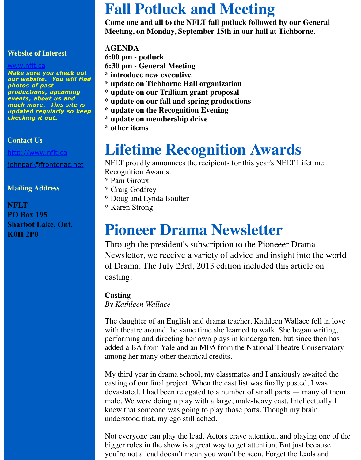Make sure you check out our website. You will find photos of past productions, upcoming productions, upcoming events, about us and much more. This site is updated regularly so keep checking it out.

#### **[Contact Us](http://www.nflt.ca/)**

http://www.nflt.ca

johnpari@frontenac.net

#### **Mailing Address**

**NFLT PO Box 195 [Sharbot Lake, On](http://www.nflt.ca/)t. [K0H 2P0](mailto:johnpari@frontenac.net)**

- **6:30 pm General Meeting \* introduce new executive**
- **\* update on Tichborne Hall organization**
- **\* update on our Trillium grant proposal**
- **\* update on our fall and spring productions**
- **\* update on the Recognition Evening**
- **\* update on membership drive**
- **\* other items**

## **Lifetime Recognition Awards**

NFLT proudly announces the recipients for this year's NFLT L Recognition Awards:

- \* Pam Giroux
- \* Craig Godfrey
- \* Doug and Lynda Boulter
- \* Karen Strong

### **Pioneer Drama Newsletter**

Through the president's subscription to the Pioneeer Dr Newsletter, we receive a variety of advice and insight in of Drama. The July 23rd, 2013 edition included this art casting:

#### **Casting**

*By Kathleen Wallace*

The daughter of an English and drama teacher, Kathleen Wallace fell in English and drama teacher, Kathleen Walla with theatre around the same time she learned to walk. She begand performing and directing her own plays in kindergarten, but since the has added a BA from Yale and an MFA from the National Theatre among her many other theatrical credits.

My third year in drama school, my classmates and I anxiously casting of our final project. When the cast list was finally posted devastated. I had been relegated to a number of small parts  $$ male. We were doing a play with a large, male-heavy cast. Inte knew that someone was going to play those parts. Though my understood that, my ego still ached.

Not everyone can play the lead. Actors crave attention, and planely bigger roles in the show is a great way to get attention. But just you're not a lead doesn't mean you won't be seen. Forget the l